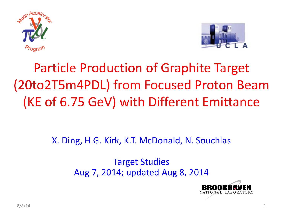



## Particle Production of Graphite Target (20to2T5m4PDL) from Focused Proton Beam (KE of 6.75 GeV) with Different Emittance

X. Ding, H.G. Kirk, K.T. McDonald, N. Souchlas

Target Studies Aug 7, 2014; updated Aug 8, 2014

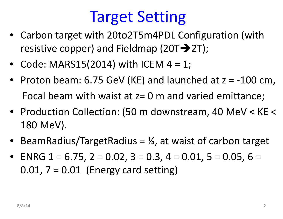# Target Setting

- Carbon target with 20to2T5m4PDL Configuration (with resistive copper) and Fieldmap (20T $\rightarrow$ 2T);
- Code: MARS15(2014) with ICEM 4 <sup>=</sup> 1;
- Proton beam: 6.75 GeV (KE) and launched at <sup>z</sup> <sup>=</sup> ‐100 cm, Focal beam with waist at z= 0 <sup>m</sup> and varied emittance;
- Production Collection: (50 <sup>m</sup> downstream, 40 MeV <sup>&</sup>lt; KE <sup>&</sup>lt; 180 MeV).
- •BeamRadius/TargetRadius  $=$   $\frac{1}{4}$ , at waist of carbon target
- ENRG 1 <sup>=</sup> 6.75, 2 <sup>=</sup> 0.02, 3 <sup>=</sup> 0.3, 4 <sup>=</sup> 0.01, 5 <sup>=</sup> 0.05, 6 <sup>=</sup>  $0.01$ ,  $7 = 0.01$  (Energy card setting)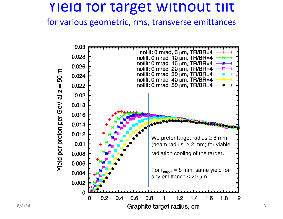### Yield for target without tilt

for various geometric, rms, transverse emittances

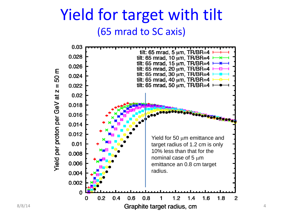### Yield for target with tilt (65 mrad to SC axis)

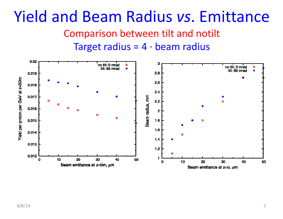#### Yield and Beam Radius *vs*. Emittance Comparison between tilt and notilt Target radius =  $4 \cdot$  beam radius

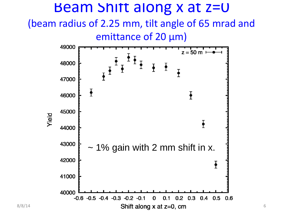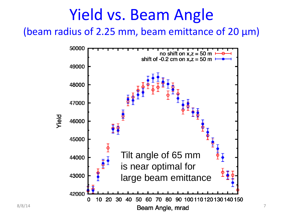## Yield vs. Beam Angle

(beam radius of 2.25 mm, beam emittance of 20 μm)